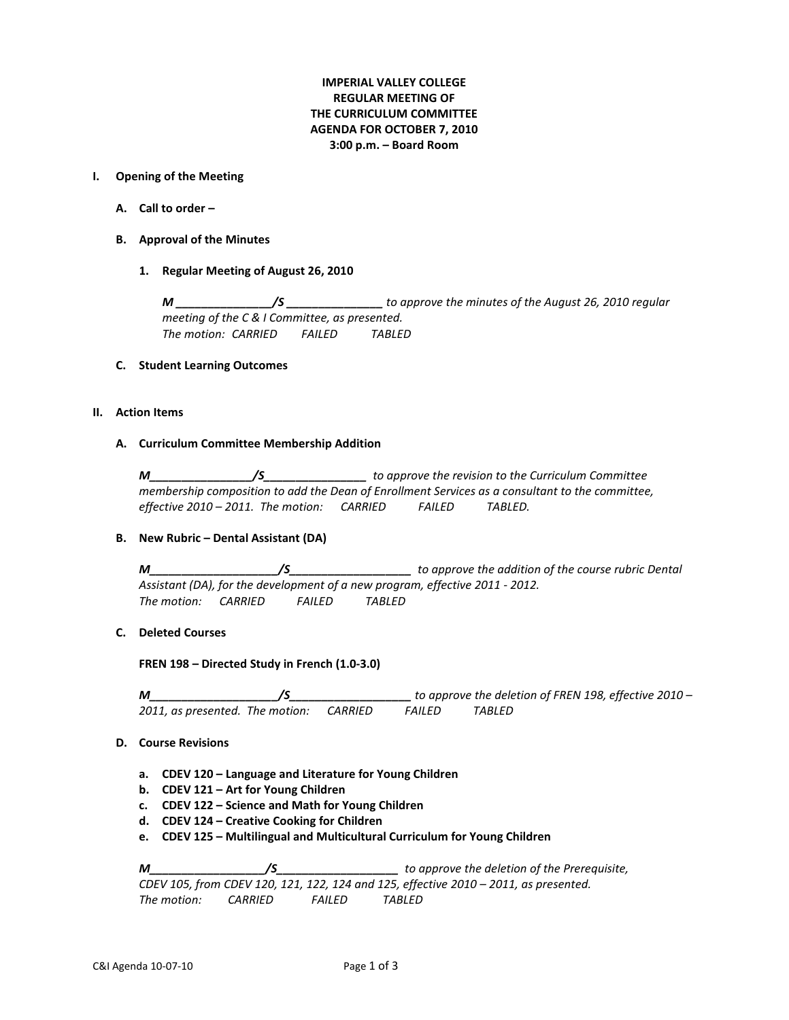# **IMPERIAL VALLEY COLLEGE REGULAR MEETING OF THE CURRICULUM COMMITTEE AGENDA FOR OCTOBER 7, 2010 3:00 p.m. – Board Room**

#### **I. Opening of the Meeting**

- **A. Call to order –**
- **B. Approval of the Minutes**
	- **1. Regular Meeting of August 26, 2010**

*M \_\_\_\_\_\_\_\_\_\_\_\_\_\_\_/S \_\_\_\_\_\_\_\_\_\_\_\_\_\_\_ to approve the minutes of the August 26, 2010 regular meeting of the C & I Committee, as presented. The motion: CARRIED FAILED TABLED*

### **C. Student Learning Outcomes**

## **II. Action Items**

### **A. Curriculum Committee Membership Addition**

*M\_\_\_\_\_\_\_\_\_\_\_\_\_\_\_\_/S\_\_\_\_\_\_\_\_\_\_\_\_\_\_\_\_ to approve the revision to the Curriculum Committee membership composition to add the Dean of Enrollment Services as a consultant to the committee, effective 2010 – 2011. The motion: CARRIED FAILED TABLED.*

## **B. New Rubric – Dental Assistant (DA)**

*M\_\_\_\_\_\_\_\_\_\_\_\_\_\_\_\_\_\_\_\_/S\_\_\_\_\_\_\_\_\_\_\_\_\_\_\_\_\_\_\_ to approve the addition of the course rubric Dental Assistant (DA), for the development of a new program, effective 2011 - 2012. The motion: CARRIED FAILED TABLED*

## **C. Deleted Courses**

**FREN 198 – Directed Study in French (1.0-3.0)**

*M\_\_\_\_\_\_\_\_\_\_\_\_\_\_\_\_\_\_\_\_/S\_\_\_\_\_\_\_\_\_\_\_\_\_\_\_\_\_\_\_ to approve the deletion of FREN 198, effective 2010 – 2011, as presented. The motion: CARRIED FAILED TABLED*

## **D. Course Revisions**

- **a. CDEV 120 – Language and Literature for Young Children**
- **b. CDEV 121 – Art for Young Children**
- **c. CDEV 122 – Science and Math for Young Children**
- **d. CDEV 124 – Creative Cooking for Children**
- **e. CDEV 125 – Multilingual and Multicultural Curriculum for Young Children**

*M\_\_\_\_\_\_\_\_\_\_\_\_\_\_\_\_\_\_/S\_\_\_\_\_\_\_\_\_\_\_\_\_\_\_\_\_\_\_ to approve the deletion of the Prerequisite, CDEV 105, from CDEV 120, 121, 122, 124 and 125, effective 2010 – 2011, as presented. The motion: CARRIED FAILED TABLED*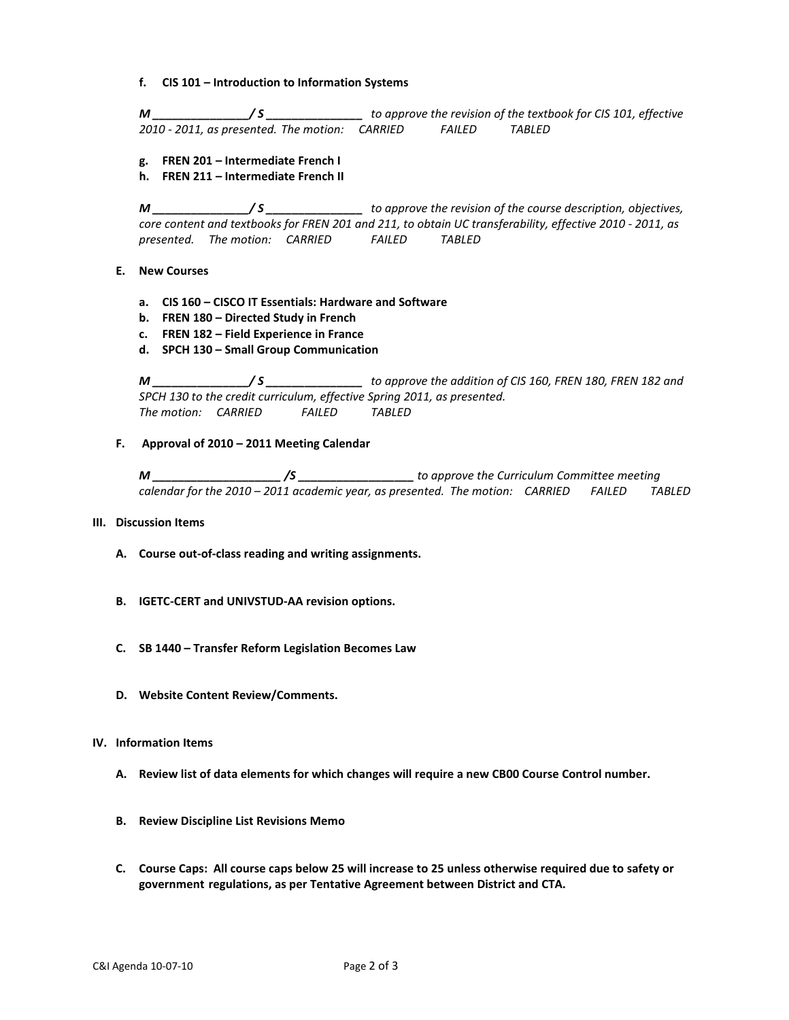**f. CIS 101 – Introduction to Information Systems**

*M \_\_\_\_\_\_\_\_\_\_\_\_\_\_\_/ S \_\_\_\_\_\_\_\_\_\_\_\_\_\_\_ to approve the revision of the textbook for CIS 101, effective 2010 - 2011, as presented. The motion: CARRIED FAILED TABLED*

- **g. FREN 201 – Intermediate French I**
- **h. FREN 211 – Intermediate French II**

*M \_\_\_\_\_\_\_\_\_\_\_\_\_\_\_/ S \_\_\_\_\_\_\_\_\_\_\_\_\_\_\_ to approve the revision of the course description, objectives, core content and textbooks for FREN 201 and 211, to obtain UC transferability, effective 2010 - 2011, as presented. The motion: CARRIED FAILED TABLED*

- **E. New Courses**
	- **a. CIS 160 – CISCO IT Essentials: Hardware and Software**
	- **b. FREN 180 – Directed Study in French**
	- **c. FREN 182 – Field Experience in France**
	- **d. SPCH 130 – Small Group Communication**

*M \_\_\_\_\_\_\_\_\_\_\_\_\_\_\_/ S \_\_\_\_\_\_\_\_\_\_\_\_\_\_\_ to approve the addition of CIS 160, FREN 180, FREN 182 and SPCH 130 to the credit curriculum, effective Spring 2011, as presented. The motion: CARRIED FAILED TABLED*

**F. Approval of 2010 – 2011 Meeting Calendar** 

*M \_\_\_\_\_\_\_\_\_\_\_\_\_\_\_\_\_\_\_\_ /S \_\_\_\_\_\_\_\_\_\_\_\_\_\_\_\_\_\_ to approve the Curriculum Committee meeting calendar for the 2010 – 2011 academic year, as presented. The motion: CARRIED FAILED TABLED*

#### **III. Discussion Items**

- **A. Course out-of-class reading and writing assignments.**
- **B. IGETC-CERT and UNIVSTUD-AA revision options.**
- **C. SB 1440 – Transfer Reform Legislation Becomes Law**
- **D. Website Content Review/Comments.**

#### **IV. Information Items**

- **A. Review list of data elements for which changes will require a new CB00 Course Control number.**
- **B. Review Discipline List Revisions Memo**
- **C. Course Caps: All course caps below 25 will increase to 25 unless otherwise required due to safety or government regulations, as per Tentative Agreement between District and CTA.**